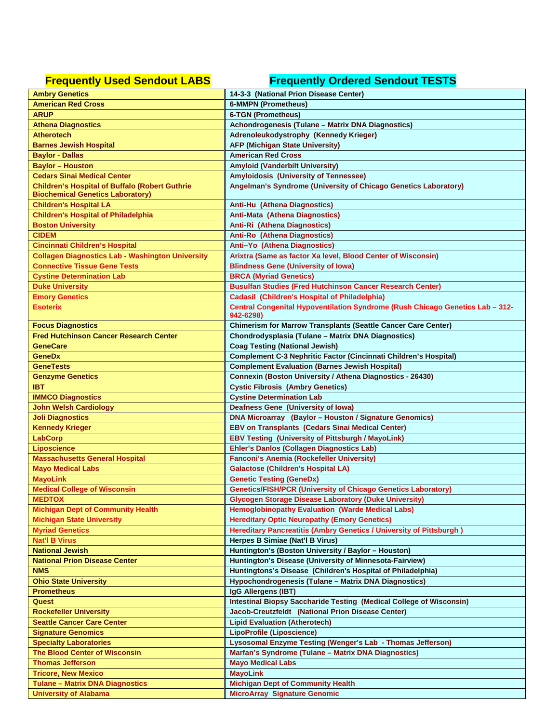## **Frequently Used Sendout LABS Frequently Ordered Sendout TESTS**

| <b>Ambry Genetics</b>                                   | 14-3-3 (National Prion Disease Center)                                                     |
|---------------------------------------------------------|--------------------------------------------------------------------------------------------|
| <b>American Red Cross</b>                               | <b>6-MMPN (Prometheus)</b>                                                                 |
| <b>ARUP</b>                                             | <b>6-TGN (Prometheus)</b>                                                                  |
| <b>Athena Diagnostics</b>                               | Achondrogenesis (Tulane - Matrix DNA Diagnostics)                                          |
| <b>Atherotech</b>                                       | Adrenoleukodystrophy (Kennedy Krieger)                                                     |
| <b>Barnes Jewish Hospital</b>                           | <b>AFP (Michigan State University)</b>                                                     |
| <b>Baylor - Dallas</b>                                  | <b>American Red Cross</b>                                                                  |
| <b>Baylor - Houston</b>                                 | <b>Amyloid (Vanderbilt University)</b>                                                     |
| <b>Cedars Sinai Medical Center</b>                      | <b>Amyloidosis (University of Tennessee)</b>                                               |
| <b>Children's Hospital of Buffalo (Robert Guthrie</b>   | Angelman's Syndrome (University of Chicago Genetics Laboratory)                            |
| <b>Biochemical Genetics Laboratory)</b>                 |                                                                                            |
| <b>Children's Hospital LA</b>                           | Anti-Hu (Athena Diagnostics)                                                               |
| <b>Children's Hospital of Philadelphia</b>              | Anti-Mata (Athena Diagnostics)                                                             |
| <b>Boston University</b>                                | Anti-Ri (Athena Diagnostics)                                                               |
| <b>CIDEM</b>                                            | <b>Anti-Ro (Athena Diagnostics)</b>                                                        |
| <b>Cincinnati Children's Hospital</b>                   | Anti-Yo (Athena Diagnostics)                                                               |
| <b>Collagen Diagnostics Lab - Washington University</b> | Arixtra (Same as factor Xa level, Blood Center of Wisconsin)                               |
| <b>Connective Tissue Gene Tests</b>                     | <b>Blindness Gene (University of lowa)</b>                                                 |
| <b>Cystine Determination Lab</b>                        | <b>BRCA (Myriad Genetics)</b>                                                              |
|                                                         |                                                                                            |
| <b>Duke University</b>                                  | <b>Busulfan Studies (Fred Hutchinson Cancer Research Center)</b>                           |
| <b>Emory Genetics</b>                                   | <b>Cadasil (Children's Hospital of Philadelphia)</b>                                       |
| <b>Esoterix</b>                                         | Central Congenital Hypoventilation Syndrome (Rush Chicago Genetics Lab - 312-<br>942-6298) |
| <b>Focus Diagnostics</b>                                | <b>Chimerism for Marrow Transplants (Seattle Cancer Care Center)</b>                       |
| <b>Fred Hutchinson Cancer Research Center</b>           | Chondrodysplasia (Tulane - Matrix DNA Diagnostics)                                         |
| <b>GeneCare</b>                                         | <b>Coag Testing (National Jewish)</b>                                                      |
| <b>GeneDx</b>                                           | <b>Complement C-3 Nephritic Factor (Cincinnati Children's Hospital)</b>                    |
| <b>GeneTests</b>                                        | <b>Complement Evaluation (Barnes Jewish Hospital)</b>                                      |
| <b>Genzyme Genetics</b>                                 | Connexin (Boston University / Athena Diagnostics - 26430)                                  |
| <b>IBT</b>                                              | <b>Cystic Fibrosis (Ambry Genetics)</b>                                                    |
| <b>IMMCO Diagnostics</b>                                | <b>Cystine Determination Lab</b>                                                           |
| <b>John Welsh Cardiology</b>                            | Deafness Gene (University of Iowa)                                                         |
| <b>Joli Diagnostics</b>                                 | DNA Microarray (Baylor - Houston / Signature Genomics)                                     |
| <b>Kennedy Krieger</b>                                  | <b>EBV on Transplants (Cedars Sinai Medical Center)</b>                                    |
| LabCorp                                                 | <b>EBV Testing (University of Pittsburgh / MayoLink)</b>                                   |
| <b>Liposcience</b>                                      | Ehler's Danlos (Collagen Diagnostics Lab)                                                  |
| <b>Massachusetts General Hospital</b>                   | <b>Fanconi's Anemia (Rockefeller University)</b>                                           |
| <b>Mayo Medical Labs</b>                                | <b>Galactose (Children's Hospital LA)</b>                                                  |
| <b>MayoLink</b>                                         | <b>Genetic Testing (GeneDx)</b>                                                            |
| <b>Medical College of Wisconsin</b>                     | <b>Genetics/FISH/PCR (University of Chicago Genetics Laboratory)</b>                       |
| <b>MEDTOX</b>                                           | <b>Glycogen Storage Disease Laboratory (Duke University)</b>                               |
| <b>Michigan Dept of Community Health</b>                | <b>Hemoglobinopathy Evaluation (Warde Medical Labs)</b>                                    |
| <b>Michigan State University</b>                        | <b>Hereditary Optic Neuropathy (Emory Genetics)</b>                                        |
| <b>Myriad Genetics</b>                                  | <b>Hereditary Pancreatitis (Ambry Genetics / University of Pittsburgh)</b>                 |
| <b>Nat'l B Virus</b>                                    | Herpes B Simiae (Nat'l B Virus)                                                            |
| <b>National Jewish</b>                                  | Huntington's (Boston University / Baylor - Houston)                                        |
| <b>National Prion Disease Center</b>                    | Huntington's Disease (University of Minnesota-Fairview)                                    |
|                                                         |                                                                                            |
| <b>NMS</b>                                              | Huntingtons's Disease (Children's Hospital of Philadelphia)                                |
| <b>Ohio State University</b>                            | Hypochondrogenesis (Tulane - Matrix DNA Diagnostics)                                       |
| <b>Prometheus</b>                                       | IgG Allergens (IBT)                                                                        |
| Quest                                                   | <b>Intestinal Biopsy Saccharide Testing (Medical College of Wisconsin)</b>                 |
| <b>Rockefeller University</b>                           | Jacob-Creutzfeldt (National Prion Disease Center)                                          |
| <b>Seattle Cancer Care Center</b>                       | <b>Lipid Evaluation (Atherotech)</b>                                                       |
| <b>Signature Genomics</b>                               | LipoProfile (Liposcience)                                                                  |
| <b>Specialty Laboratories</b>                           | Lysosomal Enzyme Testing (Wenger's Lab - Thomas Jefferson)                                 |
| <b>The Blood Center of Wisconsin</b>                    | Marfan's Syndrome (Tulane - Matrix DNA Diagnostics)                                        |
| <b>Thomas Jefferson</b>                                 | <b>Mayo Medical Labs</b>                                                                   |
| <b>Tricore, New Mexico</b>                              | <b>MayoLink</b>                                                                            |
| <b>Tulane - Matrix DNA Diagnostics</b>                  | <b>Michigan Dept of Community Health</b>                                                   |
| <b>University of Alabama</b>                            | <b>MicroArray Signature Genomic</b>                                                        |